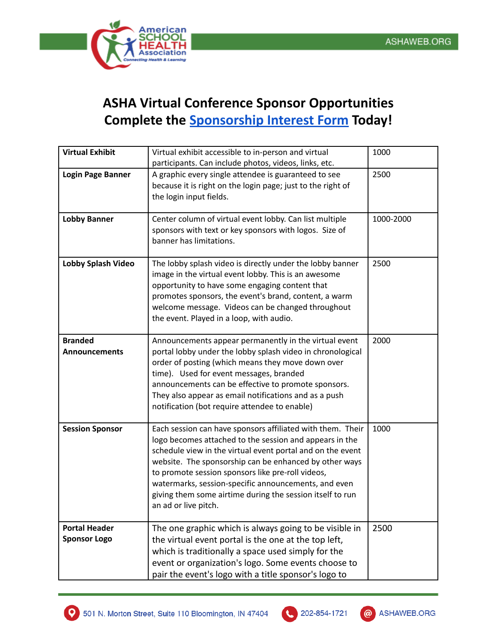

## **ASHA Virtual Conference Sponsor Opportunities Complete the [Sponsorship Interest Form](https://docs.google.com/forms/d/e/1FAIpQLSeXjB4OsRUAao8YlmFL_R5ONsO-Qz9TSyJDkuj6pckwqiIwpw/viewform?usp=sf_link) Today!**

| <b>Virtual Exhibit</b>                      | Virtual exhibit accessible to in-person and virtual<br>participants. Can include photos, videos, links, etc.                                                                                                                                                                                                                                                                                                                                    | 1000      |
|---------------------------------------------|-------------------------------------------------------------------------------------------------------------------------------------------------------------------------------------------------------------------------------------------------------------------------------------------------------------------------------------------------------------------------------------------------------------------------------------------------|-----------|
| <b>Login Page Banner</b>                    | A graphic every single attendee is guaranteed to see<br>because it is right on the login page; just to the right of<br>the login input fields.                                                                                                                                                                                                                                                                                                  | 2500      |
| <b>Lobby Banner</b>                         | Center column of virtual event lobby. Can list multiple<br>sponsors with text or key sponsors with logos. Size of<br>banner has limitations.                                                                                                                                                                                                                                                                                                    | 1000-2000 |
| Lobby Splash Video                          | The lobby splash video is directly under the lobby banner<br>image in the virtual event lobby. This is an awesome<br>opportunity to have some engaging content that<br>promotes sponsors, the event's brand, content, a warm<br>welcome message. Videos can be changed throughout<br>the event. Played in a loop, with audio.                                                                                                                   | 2500      |
| <b>Branded</b><br><b>Announcements</b>      | Announcements appear permanently in the virtual event<br>portal lobby under the lobby splash video in chronological<br>order of posting (which means they move down over<br>time). Used for event messages, branded<br>announcements can be effective to promote sponsors.<br>They also appear as email notifications and as a push<br>notification (bot require attendee to enable)                                                            | 2000      |
| <b>Session Sponsor</b>                      | Each session can have sponsors affiliated with them. Their<br>logo becomes attached to the session and appears in the<br>schedule view in the virtual event portal and on the event<br>website. The sponsorship can be enhanced by other ways<br>to promote session sponsors like pre-roll videos,<br>watermarks, session-specific announcements, and even<br>giving them some airtime during the session itself to run<br>an ad or live pitch. | 1000      |
| <b>Portal Header</b><br><b>Sponsor Logo</b> | The one graphic which is always going to be visible in<br>the virtual event portal is the one at the top left,<br>which is traditionally a space used simply for the<br>event or organization's logo. Some events choose to<br>pair the event's logo with a title sponsor's logo to                                                                                                                                                             | 2500      |



 $\overline{\mathcal{L}}$ 

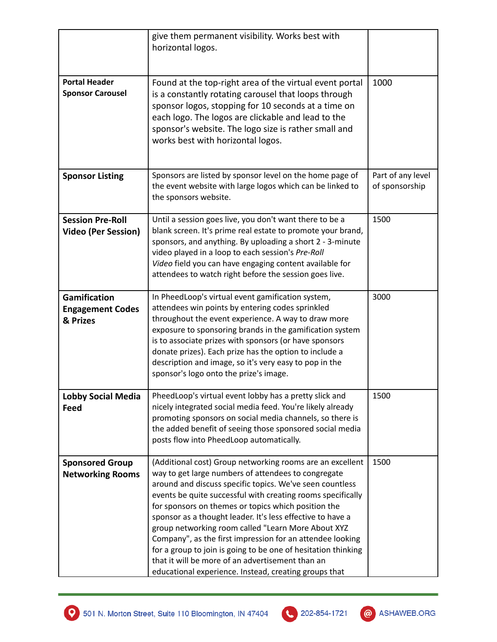|                                                            | give them permanent visibility. Works best with<br>horizontal logos.                                                                                                                                                                                                                                                                                                                                                                                                                                                                                                                                                                                              |                                     |
|------------------------------------------------------------|-------------------------------------------------------------------------------------------------------------------------------------------------------------------------------------------------------------------------------------------------------------------------------------------------------------------------------------------------------------------------------------------------------------------------------------------------------------------------------------------------------------------------------------------------------------------------------------------------------------------------------------------------------------------|-------------------------------------|
| <b>Portal Header</b><br><b>Sponsor Carousel</b>            | Found at the top-right area of the virtual event portal<br>is a constantly rotating carousel that loops through<br>sponsor logos, stopping for 10 seconds at a time on<br>each logo. The logos are clickable and lead to the<br>sponsor's website. The logo size is rather small and<br>works best with horizontal logos.                                                                                                                                                                                                                                                                                                                                         | 1000                                |
| <b>Sponsor Listing</b>                                     | Sponsors are listed by sponsor level on the home page of<br>the event website with large logos which can be linked to<br>the sponsors website.                                                                                                                                                                                                                                                                                                                                                                                                                                                                                                                    | Part of any level<br>of sponsorship |
| <b>Session Pre-Roll</b><br><b>Video (Per Session)</b>      | Until a session goes live, you don't want there to be a<br>blank screen. It's prime real estate to promote your brand,<br>sponsors, and anything. By uploading a short 2 - 3-minute<br>video played in a loop to each session's Pre-Roll<br>Video field you can have engaging content available for<br>attendees to watch right before the session goes live.                                                                                                                                                                                                                                                                                                     | 1500                                |
| <b>Gamification</b><br><b>Engagement Codes</b><br>& Prizes | In PheedLoop's virtual event gamification system,<br>attendees win points by entering codes sprinkled<br>throughout the event experience. A way to draw more<br>exposure to sponsoring brands in the gamification system<br>is to associate prizes with sponsors (or have sponsors<br>donate prizes). Each prize has the option to include a<br>description and image, so it's very easy to pop in the<br>sponsor's logo onto the prize's image.                                                                                                                                                                                                                  | 3000                                |
| <b>Lobby Social Media</b><br>Feed                          | PheedLoop's virtual event lobby has a pretty slick and<br>nicely integrated social media feed. You're likely already<br>promoting sponsors on social media channels, so there is<br>the added benefit of seeing those sponsored social media<br>posts flow into PheedLoop automatically.                                                                                                                                                                                                                                                                                                                                                                          | 1500                                |
| <b>Sponsored Group</b><br><b>Networking Rooms</b>          | (Additional cost) Group networking rooms are an excellent<br>way to get large numbers of attendees to congregate<br>around and discuss specific topics. We've seen countless<br>events be quite successful with creating rooms specifically<br>for sponsors on themes or topics which position the<br>sponsor as a thought leader. It's less effective to have a<br>group networking room called "Learn More About XYZ<br>Company", as the first impression for an attendee looking<br>for a group to join is going to be one of hesitation thinking<br>that it will be more of an advertisement than an<br>educational experience. Instead, creating groups that | 1500                                |